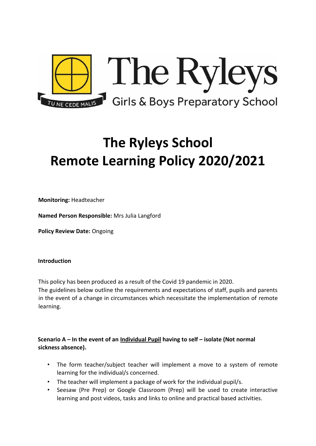

# **The Ryleys School Remote Learning Policy 2020/2021**

**Monitoring:** Headteacher

**Named Person Responsible:** Mrs Julia Langford

**Policy Review Date:** Ongoing

#### **Introduction**

This policy has been produced as a result of the Covid 19 pandemic in 2020.

The guidelines below outline the requirements and expectations of staff, pupils and parents in the event of a change in circumstances which necessitate the implementation of remote learning.

# **Scenario A – In the event of an Individual Pupil having to self – isolate (Not normal sickness absence).**

- The form teacher/subject teacher will implement a move to a system of remote learning for the individual/s concerned.
- The teacher will implement a package of work for the individual pupil/s.
- Seesaw (Pre Prep) or Google Classroom (Prep) will be used to create interactive learning and post videos, tasks and links to online and practical based activities.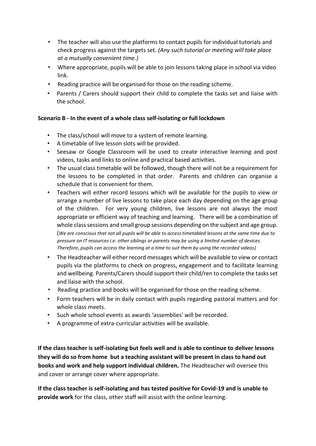- The teacher will also use the platforms to contact pupils for individual tutorials and check progress against the targets set. *(Any such tutorial or meeting will take place at a mutually convenient time.)*
- Where appropriate, pupils will be able to join lessons taking place in school via video link.
- Reading practice will be organised for those on the reading scheme.
- Parents / Carers should support their child to complete the tasks set and liaise with the school.

## **Scenario B - In the event of a whole class self-isolating or full lockdown**

- The class/school will move to a system of remote learning.
- A timetable of live lesson slots will be provided.
- Seesaw or Google Classroom will be used to create interactive learning and post videos, tasks and links to online and practical based activities.
- The usual class timetable will be followed, though there will not be a requirement for the lessons to be completed in that order. Parents and children can organise a schedule that is convenient for them.
- Teachers will either record lessons which will be available for the pupils to view or arrange a number of live lessons to take place each day depending on the age group of the children. For very young children, live lessons are not always the most appropriate or efficient way of teaching and learning. There will be a combination of whole class sessions and small group sessions depending on the subject and age group. (*We are conscious that not all pupils will be able to access timetabled lessons at the same time due to pressure on IT resources i.e. other siblings or parents may be using a limited number of devices. Therefore, pupils can access the learning at a time to suit them by using the recorded videos)*
- The Headteacher will either record messages which will be available to view or contact pupils via the platforms to check on progress, engagement and to facilitate learning and wellbeing. Parents/Carers should support their child/ren to complete the tasks set and liaise with the school.
- Reading practice and books will be organised for those on the reading scheme.
- Form teachers will be in daily contact with pupils regarding pastoral matters and for whole class meets.
- Such whole school events as awards 'assemblies' will be recorded.
- A programme of extra-curricular activities will be available.

**If the class teacher is self-isolating but feels well and is able to continue to deliver lessons they will do so from home but a teaching assistant will be present in class to hand out books and work and help support individual children.** The Headteacher will oversee this and cover or arrange cover where appropriate.

**If the class teacher is self-isolating and has tested positive for Covid-19 and is unable to provide work** for the class, other staff will assist with the online learning.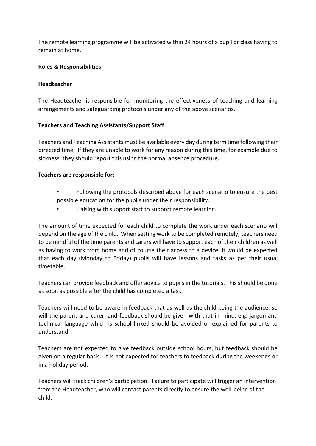The remote learning programme will be activated within 24 hours of a pupil or class having to remain at home.

## **Roles & Responsibilities**

#### **Headteacher**

The Headteacher is responsible for monitoring the effectiveness of teaching and learning arrangements and safeguarding protocols under any of the above scenarios.

#### **Teachers and Teaching Assistants/Support Staff**

Teachers and Teaching Assistants must be available every day during term time following their directed time. If they are unable to work for any reason during this time, for example due to sickness, they should report this using the normal absence procedure.

#### **Teachers are responsible for:**

- Following the protocols described above for each scenario to ensure the best possible education for the pupils under their responsibility.
- Liaising with support staff to support remote learning.

The amount of time expected for each child to complete the work under each scenario will depend on the age of the child. When setting work to be completed remotely, teachers need to be mindful of the time parents and carers will have to support each of their children as well as having to work from home and of course their access to a device. It would be expected that each day (Monday to Friday) pupils will have lessons and tasks as per their usual timetable.

Teachers can provide feedback and offer advice to pupils in the tutorials. This should be done as soon as possible after the child has completed a task.

Teachers will need to be aware in feedback that as well as the child being the audience, so will the parent and carer, and feedback should be given with that in mind, e.g. jargon and technical language which is school linked should be avoided or explained for parents to understand.

Teachers are not expected to give feedback outside school hours, but feedback should be given on a regular basis. It is not expected for teachers to feedback during the weekends or in a holiday period.

Teachers will track children's participation. Failure to participate will trigger an intervention from the Headteacher, who will contact parents directly to ensure the well-being of the child.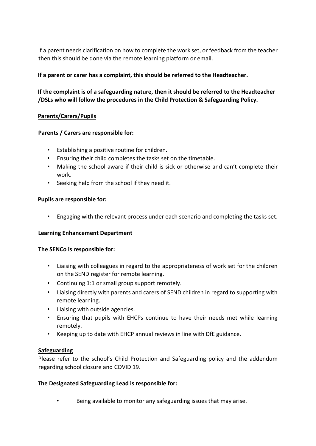If a parent needs clarification on how to complete the work set, or feedback from the teacher then this should be done via the remote learning platform or email.

## **If a parent or carer has a complaint, this should be referred to the Headteacher.**

# **If the complaint is of a safeguarding nature, then it should be referred to the Headteacher /DSLs who will follow the procedures in the Child Protection & Safeguarding Policy.**

## **Parents/Carers/Pupils**

## **Parents / Carers are responsible for:**

- Establishing a positive routine for children.
- Ensuring their child completes the tasks set on the timetable.
- Making the school aware if their child is sick or otherwise and can't complete their work.
- Seeking help from the school if they need it.

## **Pupils are responsible for:**

• Engaging with the relevant process under each scenario and completing the tasks set.

## **Learning Enhancement Department**

## **The SENCo is responsible for:**

- Liaising with colleagues in regard to the appropriateness of work set for the children on the SEND register for remote learning.
- Continuing 1:1 or small group support remotely.
- Liaising directly with parents and carers of SEND children in regard to supporting with remote learning.
- Liaising with outside agencies.
- Ensuring that pupils with EHCPs continue to have their needs met while learning remotely.
- Keeping up to date with EHCP annual reviews in line with DfE guidance.

## **Safeguarding**

Please refer to the school's Child Protection and Safeguarding policy and the addendum regarding school closure and COVID 19.

## **The Designated Safeguarding Lead is responsible for:**

Being available to monitor any safeguarding issues that may arise.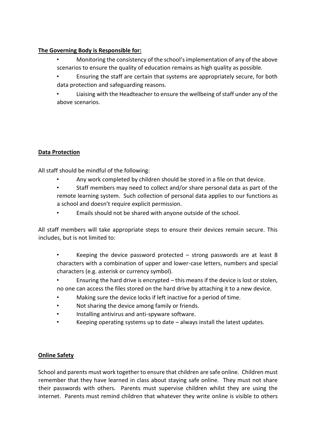## **The Governing Body is Responsible for:**

- Monitoring the consistency of the school's implementation of any of the above scenarios to ensure the quality of education remains as high quality as possible.
- Ensuring the staff are certain that systems are appropriately secure, for both data protection and safeguarding reasons.
- Liaising with the Headteacher to ensure the wellbeing of staff under any of the above scenarios.

# **Data Protection**

All staff should be mindful of the following:

- Any work completed by children should be stored in a file on that device.
- Staff members may need to collect and/or share personal data as part of the remote learning system. Such collection of personal data applies to our functions as a school and doesn't require explicit permission.
- Emails should not be shared with anyone outside of the school.

All staff members will take appropriate steps to ensure their devices remain secure. This includes, but is not limited to:

- Keeping the device password protected  $-$  strong passwords are at least 8 characters with a combination of upper and lower-case letters, numbers and special characters (e.g. asterisk or currency symbol).
- Ensuring the hard drive is encrypted this means if the device is lost or stolen, no one can access the files stored on the hard drive by attaching it to a new device.
- Making sure the device locks if left inactive for a period of time.
- Not sharing the device among family or friends.
- Installing antivirus and anti-spyware software.
- Keeping operating systems up to date always install the latest updates.

# **Online Safety**

School and parents must work together to ensure that children are safe online. Children must remember that they have learned in class about staying safe online. They must not share their passwords with others. Parents must supervise children whilst they are using the internet. Parents must remind children that whatever they write online is visible to others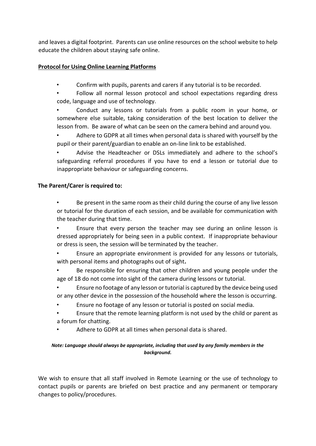and leaves a digital footprint. Parents can use online resources on the school website to help educate the children about staying safe online.

## **Protocol for Using Online Learning Platforms**

- Confirm with pupils, parents and carers if any tutorial is to be recorded.
- Follow all normal lesson protocol and school expectations regarding dress code, language and use of technology.

Conduct any lessons or tutorials from a public room in your home, or somewhere else suitable, taking consideration of the best location to deliver the lesson from. Be aware of what can be seen on the camera behind and around you.

• Adhere to GDPR at all times when personal data is shared with yourself by the pupil or their parent/guardian to enable an on-line link to be established.

• Advise the Headteacher or DSLs immediately and adhere to the school's safeguarding referral procedures if you have to end a lesson or tutorial due to inappropriate behaviour or safeguarding concerns.

#### **The Parent/Carer is required to:**

Be present in the same room as their child during the course of any live lesson or tutorial for the duration of each session, and be available for communication with the teacher during that time.

Ensure that every person the teacher may see during an online lesson is dressed appropriately for being seen in a public context. If inappropriate behaviour or dress is seen, the session will be terminated by the teacher.

- Ensure an appropriate environment is provided for any lessons or tutorials, with personal items and photographs out of sight**.**
- Be responsible for ensuring that other children and young people under the age of 18 do not come into sight of the camera during lessons or tutorial.
- Ensure no footage of any lesson or tutorial is captured by the device being used or any other device in the possession of the household where the lesson is occurring.
- Ensure no footage of any lesson or tutorial is posted on social media.
- Ensure that the remote learning platform is not used by the child or parent as a forum for chatting.
- Adhere to GDPR at all times when personal data is shared.

#### *Note: Language should always be appropriate, including that used by any family members in the background.*

We wish to ensure that all staff involved in Remote Learning or the use of technology to contact pupils or parents are briefed on best practice and any permanent or temporary changes to policy/procedures.